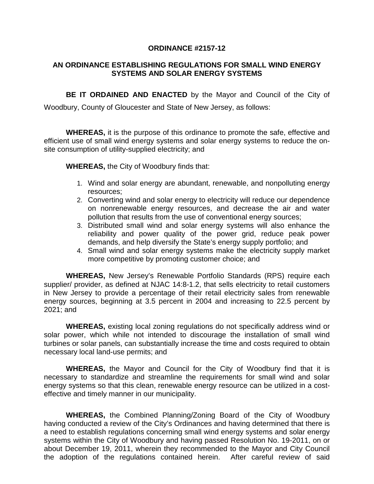#### **ORDINANCE #2157-12**

## **AN ORDINANCE ESTABLISHING REGULATIONS FOR SMALL WIND ENERGY SYSTEMS AND SOLAR ENERGY SYSTEMS**

**BE IT ORDAINED AND ENACTED** by the Mayor and Council of the City of

Woodbury, County of Gloucester and State of New Jersey, as follows:

**WHEREAS,** it is the purpose of this ordinance to promote the safe, effective and efficient use of small wind energy systems and solar energy systems to reduce the onsite consumption of utility-supplied electricity; and

**WHEREAS,** the City of Woodbury finds that:

- 1. Wind and solar energy are abundant, renewable, and nonpolluting energy resources;
- 2. Converting wind and solar energy to electricity will reduce our dependence on nonrenewable energy resources, and decrease the air and water pollution that results from the use of conventional energy sources;
- 3. Distributed small wind and solar energy systems will also enhance the reliability and power quality of the power grid, reduce peak power demands, and help diversify the State's energy supply portfolio; and
- 4. Small wind and solar energy systems make the electricity supply market more competitive by promoting customer choice; and

**WHEREAS,** New Jersey's Renewable Portfolio Standards (RPS) require each supplier/ provider, as defined at NJAC 14:8-1.2, that sells electricity to retail customers in New Jersey to provide a percentage of their retail electricity sales from renewable energy sources, beginning at 3.5 percent in 2004 and increasing to 22.5 percent by 2021; and

**WHEREAS,** existing local zoning regulations do not specifically address wind or solar power, which while not intended to discourage the installation of small wind turbines or solar panels, can substantially increase the time and costs required to obtain necessary local land-use permits; and

**WHEREAS,** the Mayor and Council for the City of Woodbury find that it is necessary to standardize and streamline the requirements for small wind and solar energy systems so that this clean, renewable energy resource can be utilized in a costeffective and timely manner in our municipality.

**WHEREAS,** the Combined Planning/Zoning Board of the City of Woodbury having conducted a review of the City's Ordinances and having determined that there is a need to establish regulations concerning small wind energy systems and solar energy systems within the City of Woodbury and having passed Resolution No. 19-2011, on or about December 19, 2011, wherein they recommended to the Mayor and City Council the adoption of the regulations contained herein. After careful review of said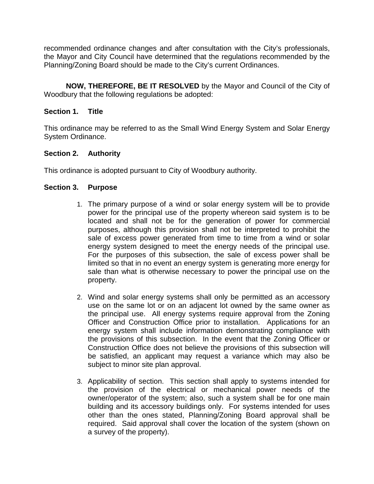recommended ordinance changes and after consultation with the City's professionals, the Mayor and City Council have determined that the regulations recommended by the Planning/Zoning Board should be made to the City's current Ordinances.

**NOW, THEREFORE, BE IT RESOLVED** by the Mayor and Council of the City of Woodbury that the following regulations be adopted:

# **Section 1. Title**

This ordinance may be referred to as the Small Wind Energy System and Solar Energy System Ordinance.

# **Section 2. Authority**

This ordinance is adopted pursuant to City of Woodbury authority.

### **Section 3. Purpose**

- 1. The primary purpose of a wind or solar energy system will be to provide power for the principal use of the property whereon said system is to be located and shall not be for the generation of power for commercial purposes, although this provision shall not be interpreted to prohibit the sale of excess power generated from time to time from a wind or solar energy system designed to meet the energy needs of the principal use. For the purposes of this subsection, the sale of excess power shall be limited so that in no event an energy system is generating more energy for sale than what is otherwise necessary to power the principal use on the property.
- 2. Wind and solar energy systems shall only be permitted as an accessory use on the same lot or on an adjacent lot owned by the same owner as the principal use. All energy systems require approval from the Zoning Officer and Construction Office prior to installation. Applications for an energy system shall include information demonstrating compliance with the provisions of this subsection. In the event that the Zoning Officer or Construction Office does not believe the provisions of this subsection will be satisfied, an applicant may request a variance which may also be subject to minor site plan approval.
- 3. Applicability of section. This section shall apply to systems intended for the provision of the electrical or mechanical power needs of the owner/operator of the system; also, such a system shall be for one main building and its accessory buildings only. For systems intended for uses other than the ones stated, Planning/Zoning Board approval shall be required. Said approval shall cover the location of the system (shown on a survey of the property).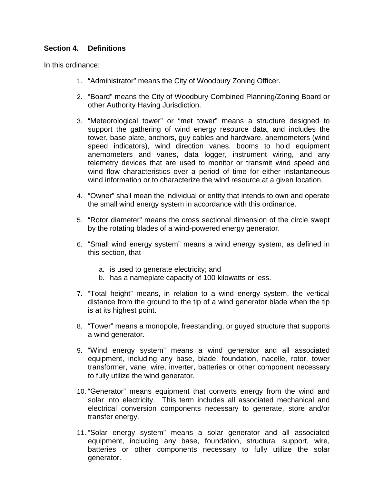# **Section 4. Definitions**

In this ordinance:

- 1. "Administrator" means the City of Woodbury Zoning Officer.
- 2. "Board" means the City of Woodbury Combined Planning/Zoning Board or other Authority Having Jurisdiction.
- 3. "Meteorological tower" or "met tower" means a structure designed to support the gathering of wind energy resource data, and includes the tower, base plate, anchors, guy cables and hardware, anemometers (wind speed indicators), wind direction vanes, booms to hold equipment anemometers and vanes, data logger, instrument wiring, and any telemetry devices that are used to monitor or transmit wind speed and wind flow characteristics over a period of time for either instantaneous wind information or to characterize the wind resource at a given location.
- 4. "Owner" shall mean the individual or entity that intends to own and operate the small wind energy system in accordance with this ordinance.
- 5. "Rotor diameter" means the cross sectional dimension of the circle swept by the rotating blades of a wind-powered energy generator.
- 6. "Small wind energy system" means a wind energy system, as defined in this section, that
	- a. is used to generate electricity; and
	- b. has a nameplate capacity of 100 kilowatts or less.
- 7. "Total height" means, in relation to a wind energy system, the vertical distance from the ground to the tip of a wind generator blade when the tip is at its highest point.
- 8. "Tower" means a monopole, freestanding, or guyed structure that supports a wind generator.
- 9. "Wind energy system" means a wind generator and all associated equipment, including any base, blade, foundation, nacelle, rotor, tower transformer, vane, wire, inverter, batteries or other component necessary to fully utilize the wind generator.
- 10. "Generator" means equipment that converts energy from the wind and solar into electricity. This term includes all associated mechanical and electrical conversion components necessary to generate, store and/or transfer energy.
- 11. "Solar energy system" means a solar generator and all associated equipment, including any base, foundation, structural support, wire, batteries or other components necessary to fully utilize the solar generator.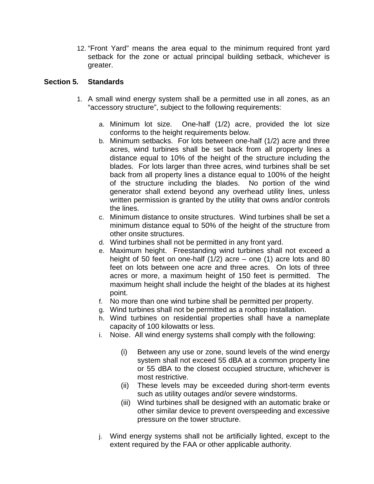12. "Front Yard" means the area equal to the minimum required front yard setback for the zone or actual principal building setback, whichever is greater.

## **Section 5. Standards**

- 1. A small wind energy system shall be a permitted use in all zones, as an "accessory structure", subject to the following requirements:
	- a. Minimum lot size. One-half (1/2) acre, provided the lot size conforms to the height requirements below.
	- b. Minimum setbacks. For lots between one-half (1/2) acre and three acres, wind turbines shall be set back from all property lines a distance equal to 10% of the height of the structure including the blades. For lots larger than three acres, wind turbines shall be set back from all property lines a distance equal to 100% of the height of the structure including the blades. No portion of the wind generator shall extend beyond any overhead utility lines, unless written permission is granted by the utility that owns and/or controls the lines.
	- c. Minimum distance to onsite structures. Wind turbines shall be set a minimum distance equal to 50% of the height of the structure from other onsite structures.
	- d. Wind turbines shall not be permitted in any front yard.
	- e. Maximum height. Freestanding wind turbines shall not exceed a height of 50 feet on one-half (1/2) acre – one (1) acre lots and 80 feet on lots between one acre and three acres. On lots of three acres or more, a maximum height of 150 feet is permitted. The maximum height shall include the height of the blades at its highest point.
	- f. No more than one wind turbine shall be permitted per property.
	- g. Wind turbines shall not be permitted as a rooftop installation.
	- h. Wind turbines on residential properties shall have a nameplate capacity of 100 kilowatts or less.
	- i. Noise. All wind energy systems shall comply with the following:
		- (i) Between any use or zone, sound levels of the wind energy system shall not exceed 55 dBA at a common property line or 55 dBA to the closest occupied structure, whichever is most restrictive.
		- (ii) These levels may be exceeded during short-term events such as utility outages and/or severe windstorms.
		- (iii) Wind turbines shall be designed with an automatic brake or other similar device to prevent overspeeding and excessive pressure on the tower structure.
	- j. Wind energy systems shall not be artificially lighted, except to the extent required by the FAA or other applicable authority.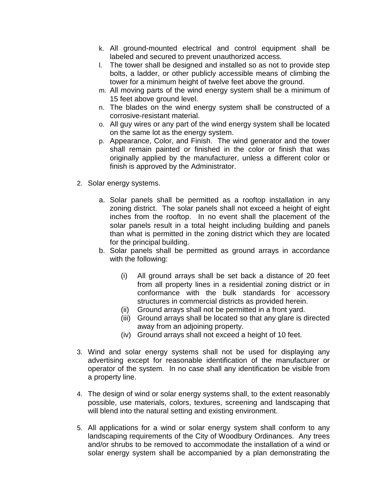- k. All ground-mounted electrical and control equipment shall be labeled and secured to prevent unauthorized access.
- l. The tower shall be designed and installed so as not to provide step bolts, a ladder, or other publicly accessible means of climbing the tower for a minimum height of twelve feet above the ground.
- m. All moving parts of the wind energy system shall be a minimum of 15 feet above ground level.
- n. The blades on the wind energy system shall be constructed of a corrosive-resistant material.
- o. All guy wires or any part of the wind energy system shall be located on the same lot as the energy system.
- p. Appearance, Color, and Finish. The wind generator and the tower shall remain painted or finished in the color or finish that was originally applied by the manufacturer, unless a different color or finish is approved by the Administrator.
- 2. Solar energy systems.
	- a. Solar panels shall be permitted as a rooftop installation in any zoning district. The solar panels shall not exceed a height of eight inches from the rooftop. In no event shall the placement of the solar panels result in a total height including building and panels than what is permitted in the zoning district which they are located for the principal building.
	- b. Solar panels shall be permitted as ground arrays in accordance with the following:
		- (i) All ground arrays shall be set back a distance of 20 feet from all property lines in a residential zoning district or in conformance with the bulk standards for accessory structures in commercial districts as provided herein.
		- (ii) Ground arrays shall not be permitted in a front yard.
		- (iii) Ground arrays shall be located so that any glare is directed away from an adjoining property.
		- (iv) Ground arrays shall not exceed a height of 10 feet.
- 3. Wind and solar energy systems shall not be used for displaying any advertising except for reasonable identification of the manufacturer or operator of the system. In no case shall any identification be visible from a property line.
- 4. The design of wind or solar energy systems shall, to the extent reasonably possible, use materials, colors, textures, screening and landscaping that will blend into the natural setting and existing environment.
- 5. All applications for a wind or solar energy system shall conform to any landscaping requirements of the City of Woodbury Ordinances. Any trees and/or shrubs to be removed to accommodate the installation of a wind or solar energy system shall be accompanied by a plan demonstrating the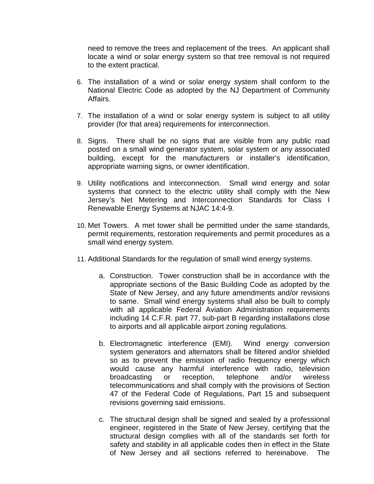need to remove the trees and replacement of the trees. An applicant shall locate a wind or solar energy system so that tree removal is not required to the extent practical.

- 6. The installation of a wind or solar energy system shall conform to the National Electric Code as adopted by the NJ Department of Community Affairs.
- 7. The installation of a wind or solar energy system is subject to all utility provider (for that area) requirements for interconnection.
- 8. Signs. There shall be no signs that are visible from any public road posted on a small wind generator system, solar system or any associated building, except for the manufacturers or installer's identification, appropriate warning signs, or owner identification.
- 9. Utility notifications and interconnection. Small wind energy and solar systems that connect to the electric utility shall comply with the New Jersey's Net Metering and Interconnection Standards for Class I Renewable Energy Systems at NJAC 14:4-9.
- 10. Met Towers. A met tower shall be permitted under the same standards, permit requirements, restoration requirements and permit procedures as a small wind energy system.
- 11. Additional Standards for the regulation of small wind energy systems.
	- a. Construction. Tower construction shall be in accordance with the appropriate sections of the Basic Building Code as adopted by the State of New Jersey, and any future amendments and/or revisions to same. Small wind energy systems shall also be built to comply with all applicable Federal Aviation Administration requirements including 14 C.F.R. part 77, sub-part B regarding installations close to airports and all applicable airport zoning regulations.
	- b. Electromagnetic interference (EMI). Wind energy conversion system generators and alternators shall be filtered and/or shielded so as to prevent the emission of radio frequency energy which would cause any harmful interference with radio, television broadcasting or reception, telephone and/or wireless telecommunications and shall comply with the provisions of Section 47 of the Federal Code of Regulations, Part 15 and subsequent revisions governing said emissions.
	- c. The structural design shall be signed and sealed by a professional engineer, registered in the State of New Jersey, certifying that the structural design complies with all of the standards set forth for safety and stability in all applicable codes then in effect in the State of New Jersey and all sections referred to hereinabove. The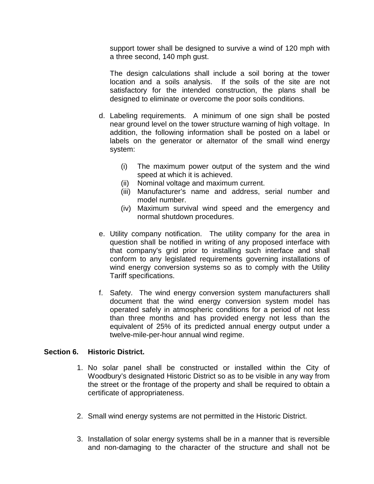support tower shall be designed to survive a wind of 120 mph with a three second, 140 mph gust.

The design calculations shall include a soil boring at the tower location and a soils analysis. If the soils of the site are not satisfactory for the intended construction, the plans shall be designed to eliminate or overcome the poor soils conditions.

- d. Labeling requirements. A minimum of one sign shall be posted near ground level on the tower structure warning of high voltage. In addition, the following information shall be posted on a label or labels on the generator or alternator of the small wind energy system:
	- (i) The maximum power output of the system and the wind speed at which it is achieved.
	- (ii) Nominal voltage and maximum current.
	- (iii) Manufacturer's name and address, serial number and model number.
	- (iv) Maximum survival wind speed and the emergency and normal shutdown procedures.
- e. Utility company notification. The utility company for the area in question shall be notified in writing of any proposed interface with that company's grid prior to installing such interface and shall conform to any legislated requirements governing installations of wind energy conversion systems so as to comply with the Utility Tariff specifications.
- f. Safety. The wind energy conversion system manufacturers shall document that the wind energy conversion system model has operated safely in atmospheric conditions for a period of not less than three months and has provided energy not less than the equivalent of 25% of its predicted annual energy output under a twelve-mile-per-hour annual wind regime.

### **Section 6. Historic District.**

- 1. No solar panel shall be constructed or installed within the City of Woodbury's designated Historic District so as to be visible in any way from the street or the frontage of the property and shall be required to obtain a certificate of appropriateness.
- 2. Small wind energy systems are not permitted in the Historic District.
- 3. Installation of solar energy systems shall be in a manner that is reversible and non-damaging to the character of the structure and shall not be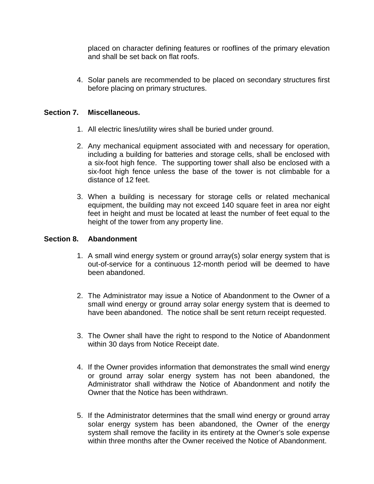placed on character defining features or rooflines of the primary elevation and shall be set back on flat roofs.

4. Solar panels are recommended to be placed on secondary structures first before placing on primary structures.

## **Section 7. Miscellaneous.**

- 1. All electric lines/utility wires shall be buried under ground.
- 2. Any mechanical equipment associated with and necessary for operation, including a building for batteries and storage cells, shall be enclosed with a six-foot high fence. The supporting tower shall also be enclosed with a six-foot high fence unless the base of the tower is not climbable for a distance of 12 feet.
- 3. When a building is necessary for storage cells or related mechanical equipment, the building may not exceed 140 square feet in area nor eight feet in height and must be located at least the number of feet equal to the height of the tower from any property line.

# **Section 8. Abandonment**

- 1. A small wind energy system or ground array(s) solar energy system that is out-of-service for a continuous 12-month period will be deemed to have been abandoned.
- 2. The Administrator may issue a Notice of Abandonment to the Owner of a small wind energy or ground array solar energy system that is deemed to have been abandoned. The notice shall be sent return receipt requested.
- 3. The Owner shall have the right to respond to the Notice of Abandonment within 30 days from Notice Receipt date.
- 4. If the Owner provides information that demonstrates the small wind energy or ground array solar energy system has not been abandoned, the Administrator shall withdraw the Notice of Abandonment and notify the Owner that the Notice has been withdrawn.
- 5. If the Administrator determines that the small wind energy or ground array solar energy system has been abandoned, the Owner of the energy system shall remove the facility in its entirety at the Owner's sole expense within three months after the Owner received the Notice of Abandonment.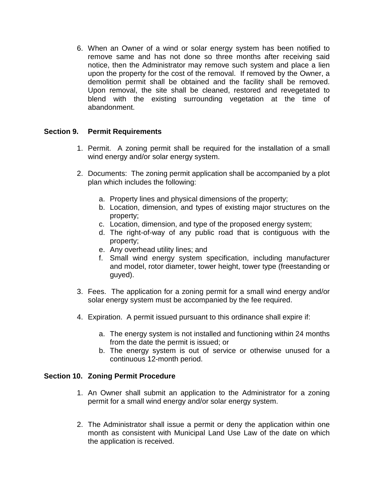6. When an Owner of a wind or solar energy system has been notified to remove same and has not done so three months after receiving said notice, then the Administrator may remove such system and place a lien upon the property for the cost of the removal. If removed by the Owner, a demolition permit shall be obtained and the facility shall be removed. Upon removal, the site shall be cleaned, restored and revegetated to blend with the existing surrounding vegetation at the time of abandonment.

# **Section 9. Permit Requirements**

- 1. Permit. A zoning permit shall be required for the installation of a small wind energy and/or solar energy system.
- 2. Documents: The zoning permit application shall be accompanied by a plot plan which includes the following:
	- a. Property lines and physical dimensions of the property;
	- b. Location, dimension, and types of existing major structures on the property;
	- c. Location, dimension, and type of the proposed energy system;
	- d. The right-of-way of any public road that is contiguous with the property;
	- e. Any overhead utility lines; and
	- f. Small wind energy system specification, including manufacturer and model, rotor diameter, tower height, tower type (freestanding or guyed).
- 3. Fees. The application for a zoning permit for a small wind energy and/or solar energy system must be accompanied by the fee required.
- 4. Expiration. A permit issued pursuant to this ordinance shall expire if:
	- a. The energy system is not installed and functioning within 24 months from the date the permit is issued; or
	- b. The energy system is out of service or otherwise unused for a continuous 12-month period.

### **Section 10. Zoning Permit Procedure**

- 1. An Owner shall submit an application to the Administrator for a zoning permit for a small wind energy and/or solar energy system.
- 2. The Administrator shall issue a permit or deny the application within one month as consistent with Municipal Land Use Law of the date on which the application is received.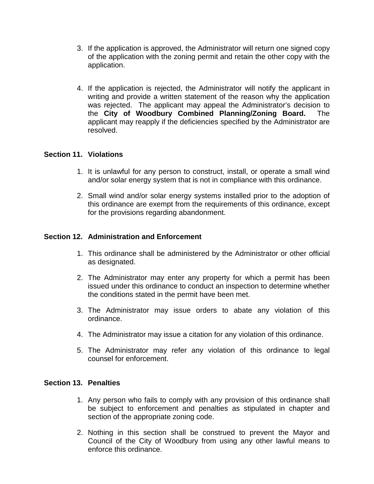- 3. If the application is approved, the Administrator will return one signed copy of the application with the zoning permit and retain the other copy with the application.
- 4. If the application is rejected, the Administrator will notify the applicant in writing and provide a written statement of the reason why the application was rejected. The applicant may appeal the Administrator's decision to the **City of Woodbury Combined Planning/Zoning Board.** The applicant may reapply if the deficiencies specified by the Administrator are resolved.

### **Section 11. Violations**

- 1. It is unlawful for any person to construct, install, or operate a small wind and/or solar energy system that is not in compliance with this ordinance.
- 2. Small wind and/or solar energy systems installed prior to the adoption of this ordinance are exempt from the requirements of this ordinance, except for the provisions regarding abandonment.

# **Section 12. Administration and Enforcement**

- 1. This ordinance shall be administered by the Administrator or other official as designated.
- 2. The Administrator may enter any property for which a permit has been issued under this ordinance to conduct an inspection to determine whether the conditions stated in the permit have been met.
- 3. The Administrator may issue orders to abate any violation of this ordinance.
- 4. The Administrator may issue a citation for any violation of this ordinance.
- 5. The Administrator may refer any violation of this ordinance to legal counsel for enforcement.

### **Section 13. Penalties**

- 1. Any person who fails to comply with any provision of this ordinance shall be subject to enforcement and penalties as stipulated in chapter and section of the appropriate zoning code.
- 2. Nothing in this section shall be construed to prevent the Mayor and Council of the City of Woodbury from using any other lawful means to enforce this ordinance.